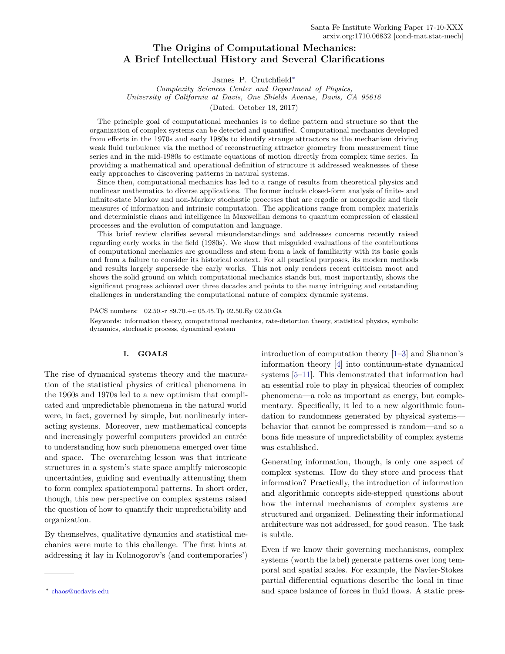# <span id="page-0-1"></span>**The Origins of Computational Mechanics: A Brief Intellectual History and Several Clarifications**

James P. Crutchfield[∗](#page-0-0)

*Complexity Sciences Center and Department of Physics, University of California at Davis, One Shields Avenue, Davis, CA 95616* (Dated: October 18, 2017)

The principle goal of computational mechanics is to define pattern and structure so that the organization of complex systems can be detected and quantified. Computational mechanics developed from efforts in the 1970s and early 1980s to identify strange attractors as the mechanism driving weak fluid turbulence via the method of reconstructing attractor geometry from measurement time series and in the mid-1980s to estimate equations of motion directly from complex time series. In providing a mathematical and operational definition of structure it addressed weaknesses of these early approaches to discovering patterns in natural systems.

Since then, computational mechanics has led to a range of results from theoretical physics and nonlinear mathematics to diverse applications. The former include closed-form analysis of finite- and infinite-state Markov and non-Markov stochastic processes that are ergodic or nonergodic and their measures of information and intrinsic computation. The applications range from complex materials and deterministic chaos and intelligence in Maxwellian demons to quantum compression of classical processes and the evolution of computation and language.

This brief review clarifies several misunderstandings and addresses concerns recently raised regarding early works in the field (1980s). We show that misguided evaluations of the contributions of computational mechanics are groundless and stem from a lack of familiarity with its basic goals and from a failure to consider its historical context. For all practical purposes, its modern methods and results largely supersede the early works. This not only renders recent criticism moot and shows the solid ground on which computational mechanics stands but, most importantly, shows the significant progress achieved over three decades and points to the many intriguing and outstanding challenges in understanding the computational nature of complex dynamic systems.

PACS numbers: 02.50.-r 89.70.+c 05.45.Tp 02.50.Ey 02.50.Ga Keywords: information theory, computational mechanics, rate-distortion theory, statistical physics, symbolic dynamics, stochastic process, dynamical system

# **I. GOALS**

The rise of dynamical systems theory and the maturation of the statistical physics of critical phenomena in the 1960s and 1970s led to a new optimism that complicated and unpredictable phenomena in the natural world were, in fact, governed by simple, but nonlinearly interacting systems. Moreover, new mathematical concepts and increasingly powerful computers provided an entrée to understanding how such phenomena emerged over time and space. The overarching lesson was that intricate structures in a system's state space amplify microscopic uncertainties, guiding and eventually attenuating them to form complex spatiotemporal patterns. In short order, though, this new perspective on complex systems raised the question of how to quantify their unpredictability and organization.

By themselves, qualitative dynamics and statistical mechanics were mute to this challenge. The first hints at addressing it lay in Kolmogorov's (and contemporaries') introduction of computation theory [\[1](#page-6-0)[–3\]](#page-7-0) and Shannon's information theory [\[4\]](#page-7-1) into continuum-state dynamical systems [\[5](#page-7-2)[–11\]](#page-7-3). This demonstrated that information had an essential role to play in physical theories of complex phenomena—a role as important as energy, but complementary. Specifically, it led to a new algorithmic foundation to randomness generated by physical systems behavior that cannot be compressed is random—and so a bona fide measure of unpredictability of complex systems was established.

Generating information, though, is only one aspect of complex systems. How do they store and process that information? Practically, the introduction of information and algorithmic concepts side-stepped questions about how the internal mechanisms of complex systems are structured and organized. Delineating their informational architecture was not addressed, for good reason. The task is subtle.

Even if we know their governing mechanisms, complex systems (worth the label) generate patterns over long temporal and spatial scales. For example, the Navier-Stokes partial differential equations describe the local in time and space balance of forces in fluid flows. A static pres-

<span id="page-0-0"></span><sup>∗</sup> [chaos@ucdavis.edu](mailto:chaos@ucdavis.edu)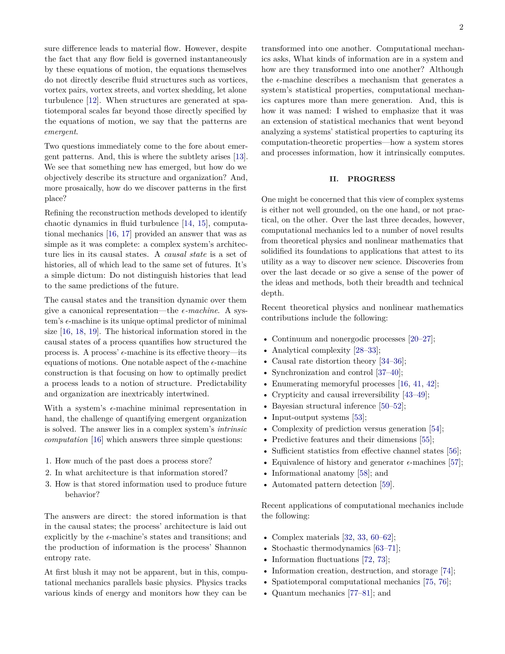<span id="page-1-0"></span>sure difference leads to material flow. However, despite the fact that any flow field is governed instantaneously by these equations of motion, the equations themselves do not directly describe fluid structures such as vortices, vortex pairs, vortex streets, and vortex shedding, let alone turbulence [\[12\]](#page-7-4). When structures are generated at spatiotemporal scales far beyond those directly specified by the equations of motion, we say that the patterns are *emergent*.

Two questions immediately come to the fore about emergent patterns. And, this is where the subtlety arises [\[13\]](#page-7-5). We see that something new has emerged, but how do we objectively describe its structure and organization? And, more prosaically, how do we discover patterns in the first place?

Refining the reconstruction methods developed to identify chaotic dynamics in fluid turbulence [\[14,](#page-7-6) [15\]](#page-7-7), computational mechanics [\[16,](#page-7-8) [17\]](#page-7-9) provided an answer that was as simple as it was complete: a complex system's architecture lies in its causal states. A *causal state* is a set of histories, all of which lead to the same set of futures. It's a simple dictum: Do not distinguish histories that lead to the same predictions of the future.

The causal states and the transition dynamic over them give a canonical representation—the  $\epsilon$ -machine. A system's  $\epsilon$ -machine is its unique optimal predictor of minimal size [\[16,](#page-7-8) [18,](#page-7-10) [19\]](#page-7-11). The historical information stored in the causal states of a process quantifies how structured the process is. A process'  $\epsilon$ -machine is its effective theory—its equations of motions. One notable aspect of the  $\epsilon$ -machine construction is that focusing on how to optimally predict a process leads to a notion of structure. Predictability and organization are inextricably intertwined.

With a system's  $\epsilon$ -machine minimal representation in hand, the challenge of quantifying emergent organization is solved. The answer lies in a complex system's *intrinsic computation* [\[16\]](#page-7-8) which answers three simple questions:

- 1. How much of the past does a process store?
- 2. In what architecture is that information stored?
- 3. How is that stored information used to produce future behavior?

The answers are direct: the stored information is that in the causal states; the process' architecture is laid out explicitly by the  $\epsilon$ -machine's states and transitions; and the production of information is the process' Shannon entropy rate.

At first blush it may not be apparent, but in this, computational mechanics parallels basic physics. Physics tracks various kinds of energy and monitors how they can be

transformed into one another. Computational mechanics asks, What kinds of information are in a system and how are they transformed into one another? Although the  $\epsilon$ -machine describes a mechanism that generates a system's statistical properties, computational mechanics captures more than mere generation. And, this is how it was named: I wished to emphasize that it was an extension of statistical mechanics that went beyond analyzing a systems' statistical properties to capturing its computation-theoretic properties—how a system stores and processes information, how it intrinsically computes.

#### **II. PROGRESS**

One might be concerned that this view of complex systems is either not well grounded, on the one hand, or not practical, on the other. Over the last three decades, however, computational mechanics led to a number of novel results from theoretical physics and nonlinear mathematics that solidified its foundations to applications that attest to its utility as a way to discover new science. Discoveries from over the last decade or so give a sense of the power of the ideas and methods, both their breadth and technical depth.

Recent theoretical physics and nonlinear mathematics contributions include the following:

- Continuum and nonergodic processes [\[20–](#page-7-12)[27\]](#page-7-13);
- Analytical complexity [\[28](#page-7-14)[–33\]](#page-7-15);
- Causal rate distortion theory [\[34](#page-7-16)[–36\]](#page-8-0);
- Synchronization and control [\[37](#page-8-1)[–40\]](#page-8-2);
- Enumerating memoryful processes [\[16,](#page-7-8) [41,](#page-8-3) [42\]](#page-8-4);
- Crypticity and causal irreversibility [\[43–](#page-8-5)[49\]](#page-8-6);
- Bayesian structural inference [\[50–](#page-8-7)[52\]](#page-8-8);
- Input-output systems [\[53\]](#page-8-9);
- Complexity of prediction versus generation [\[54\]](#page-8-10);
- Predictive features and their dimensions [\[55\]](#page-8-11);
- Sufficient statistics from effective channel states [\[56\]](#page-8-12);
- Equivalence of history and generator  $\epsilon$ -machines [\[57\]](#page-8-13);
- Informational anatomy [\[58\]](#page-8-14); and
- Automated pattern detection [\[59\]](#page-8-15).

Recent applications of computational mechanics include the following:

- Complex materials [\[32,](#page-7-17) [33,](#page-7-15) [60–](#page-8-16)[62\]](#page-8-17);
- Stochastic thermodynamics [\[63](#page-8-18)[–71\]](#page-9-0);
- Information fluctuations [\[72,](#page-9-1) [73\]](#page-9-2);
- Information creation, destruction, and storage [\[74\]](#page-9-3);
- Spatiotemporal computational mechanics [\[75,](#page-9-4) [76\]](#page-9-5);
- Quantum mechanics [\[77](#page-9-6)[–81\]](#page-9-7); and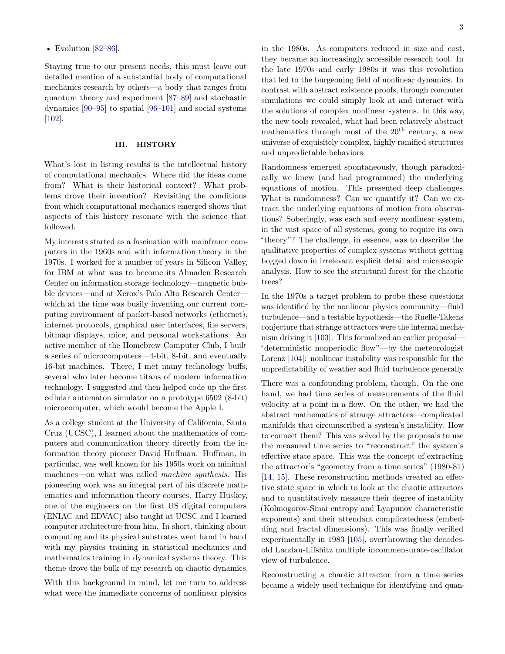<span id="page-2-0"></span>• Evolution  $[82-86]$  $[82-86]$ .

Staying true to our present needs, this must leave out detailed mention of a substantial body of computational mechanics research by others—a body that ranges from quantum theory and experiment [\[87](#page-9-10)[–89\]](#page-9-11) and stochastic dynamics [\[90–](#page-9-12)[95\]](#page-9-13) to spatial [\[96–](#page-9-14)[101\]](#page-10-0) and social systems [\[102\]](#page-10-1).

### **III. HISTORY**

What's lost in listing results is the intellectual history of computational mechanics. Where did the ideas come from? What is their historical context? What problems drove their invention? Revisiting the conditions from which computational mechanics emerged shows that aspects of this history resonate with the science that followed.

My interests started as a fascination with mainframe computers in the 1960s and with information theory in the 1970s. I worked for a number of years in Silicon Valley, for IBM at what was to become its Almaden Research Center on information storage technology—magnetic bubble devices—and at Xerox's Palo Alto Research Center which at the time was busily inventing our current computing environment of packet-based networks (ethernet), internet protocols, graphical user interfaces, file servers, bitmap displays, mice, and personal workstations. An active member of the Homebrew Computer Club, I built a series of microcomputers—4-bit, 8-bit, and eventually 16-bit machines. There, I met many technology buffs, several who later become titans of modern information technology. I suggested and then helped code up the first cellular automaton simulator on a prototype 6502 (8-bit) microcomputer, which would become the Apple I.

As a college student at the University of California, Santa Cruz (UCSC), I learned about the mathematics of computers and communication theory directly from the information theory pioneer David Huffman. Huffman, in particular, was well known for his 1950s work on minimal machines—on what was called *machine synthesis*. His pioneering work was an integral part of his discrete mathematics and information theory courses. Harry Huskey, one of the engineers on the first US digital computers (ENIAC and EDVAC) also taught at UCSC and I learned computer architecture from him. In short, thinking about computing and its physical substrates went hand in hand with my physics training in statistical mechanics and mathematics training in dynamical systems theory. This theme drove the bulk of my research on chaotic dynamics.

With this background in mind, let me turn to address what were the immediate concerns of nonlinear physics in the 1980s. As computers reduced in size and cost, they became an increasingly accessible research tool. In the late 1970s and early 1980s it was this revolution that led to the burgeoning field of nonlinear dynamics. In contrast with abstract existence proofs, through computer simulations we could simply look at and interact with the solutions of complex nonlinear systems. In this way, the new tools revealed, what had been relatively abstract mathematics through most of the  $20<sup>th</sup>$  century, a new universe of exquisitely complex, highly ramified structures and unpredictable behaviors.

Randomness emerged spontaneously, though paradoxically we knew (and had programmed) the underlying equations of motion. This presented deep challenges. What is randomness? Can we quantify it? Can we extract the underlying equations of motion from observations? Soberingly, was each and every nonlinear system, in the vast space of all systems, going to require its own "theory"? The challenge, in essence, was to describe the qualitative properties of complex systems without getting bogged down in irrelevant explicit detail and microscopic analysis. How to see the structural forest for the chaotic trees?

In the 1970s a target problem to probe these questions was identified by the nonlinear physics community—fluid turbulence—and a testable hypothesis—the Ruelle-Takens conjecture that strange attractors were the internal mechanism driving it [\[103\]](#page-10-2). This formalized an earlier proposal— "deterministic nonperiodic flow"—by the meteorologist Lorenz [\[104\]](#page-10-3): nonlinear instability was responsible for the unpredictability of weather and fluid turbulence generally.

There was a confounding problem, though. On the one hand, we had time series of measurements of the fluid velocity at a point in a flow. On the other, we had the abstract mathematics of strange attractors—complicated manifolds that circumscribed a system's instability. How to connect them? This was solved by the proposals to use the measured time series to "reconstruct" the system's effective state space. This was the concept of extracting the attractor's "geometry from a time series" (1980-81) [\[14,](#page-7-6) [15\]](#page-7-7). These reconstruction methods created an effective state space in which to look at the chaotic attractors and to quantitatively measure their degree of instability (Kolmogorov-Sinai entropy and Lyapunov characteristic exponents) and their attendant complicatedness (embedding and fractal dimensions). This was finally verified experimentally in 1983 [\[105\]](#page-10-4), overthrowing the decadesold Landau-Lifshitz multiple incommensurate-oscillator view of turbulence.

Reconstructing a chaotic attractor from a time series became a widely used technique for identifying and quan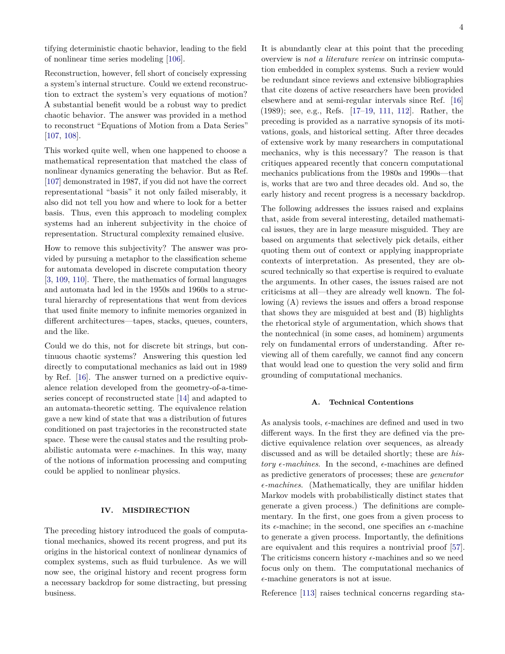<span id="page-3-0"></span>tifying deterministic chaotic behavior, leading to the field of nonlinear time series modeling [\[106\]](#page-10-5).

Reconstruction, however, fell short of concisely expressing a system's internal structure. Could we extend reconstruction to extract the system's very equations of motion? A substantial benefit would be a robust way to predict chaotic behavior. The answer was provided in a method to reconstruct "Equations of Motion from a Data Series" [\[107,](#page-10-6) [108\]](#page-10-7).

This worked quite well, when one happened to choose a mathematical representation that matched the class of nonlinear dynamics generating the behavior. But as Ref. [\[107\]](#page-10-6) demonstrated in 1987, if you did not have the correct representational "basis" it not only failed miserably, it also did not tell you how and where to look for a better basis. Thus, even this approach to modeling complex systems had an inherent subjectivity in the choice of representation. Structural complexity remained elusive.

How to remove this subjectivity? The answer was provided by pursuing a metaphor to the classification scheme for automata developed in discrete computation theory [\[3,](#page-7-0) [109,](#page-10-8) [110\]](#page-10-9). There, the mathematics of formal languages and automata had led in the 1950s and 1960s to a structural hierarchy of representations that went from devices that used finite memory to infinite memories organized in different architectures—tapes, stacks, queues, counters, and the like.

Could we do this, not for discrete bit strings, but continuous chaotic systems? Answering this question led directly to computational mechanics as laid out in 1989 by Ref. [\[16\]](#page-7-8). The answer turned on a predictive equivalence relation developed from the geometry-of-a-timeseries concept of reconstructed state [\[14\]](#page-7-6) and adapted to an automata-theoretic setting. The equivalence relation gave a new kind of state that was a distribution of futures conditioned on past trajectories in the reconstructed state space. These were the causal states and the resulting probabilistic automata were  $\epsilon$ -machines. In this way, many of the notions of information processing and computing could be applied to nonlinear physics.

### **IV. MISDIRECTION**

The preceding history introduced the goals of computational mechanics, showed its recent progress, and put its origins in the historical context of nonlinear dynamics of complex systems, such as fluid turbulence. As we will now see, the original history and recent progress form a necessary backdrop for some distracting, but pressing business.

It is abundantly clear at this point that the preceding overview is *not a literature review* on intrinsic computation embedded in complex systems. Such a review would be redundant since reviews and extensive bibliographies that cite dozens of active researchers have been provided elsewhere and at semi-regular intervals since Ref. [\[16\]](#page-7-8) (1989); see, e.g., Refs. [\[17](#page-7-9)[–19,](#page-7-11) [111,](#page-10-10) [112\]](#page-10-11). Rather, the preceding is provided as a narrative synopsis of its motivations, goals, and historical setting. After three decades of extensive work by many researchers in computational mechanics, why is this necessary? The reason is that critiques appeared recently that concern computational mechanics publications from the 1980s and 1990s—that is, works that are two and three decades old. And so, the early history and recent progress is a necessary backdrop.

The following addresses the issues raised and explains that, aside from several interesting, detailed mathematical issues, they are in large measure misguided. They are based on arguments that selectively pick details, either quoting them out of context or applying inappropriate contexts of interpretation. As presented, they are obscured technically so that expertise is required to evaluate the arguments. In other cases, the issues raised are not criticisms at all—they are already well known. The following (A) reviews the issues and offers a broad response that shows they are misguided at best and (B) highlights the rhetorical style of argumentation, which shows that the nontechnical (in some cases, ad hominem) arguments rely on fundamental errors of understanding. After reviewing all of them carefully, we cannot find any concern that would lead one to question the very solid and firm grounding of computational mechanics.

#### **A. Technical Contentions**

As analysis tools,  $\epsilon$ -machines are defined and used in two different ways. In the first they are defined via the predictive equivalence relation over sequences, as already discussed and as will be detailed shortly; these are *history*  $\epsilon$ -machines. In the second,  $\epsilon$ -machines are defined as predictive generators of processes; these are *generator -machines*. (Mathematically, they are unifilar hidden Markov models with probabilistically distinct states that generate a given process.) The definitions are complementary. In the first, one goes from a given process to its  $\epsilon$ -machine; in the second, one specifies an  $\epsilon$ -machine to generate a given process. Importantly, the definitions are equivalent and this requires a nontrivial proof [\[57\]](#page-8-13). The criticisms concern history  $\epsilon$ -machines and so we need focus only on them. The computational mechanics of  $\epsilon$ -machine generators is not at issue.

Reference [\[113\]](#page-10-12) raises technical concerns regarding sta-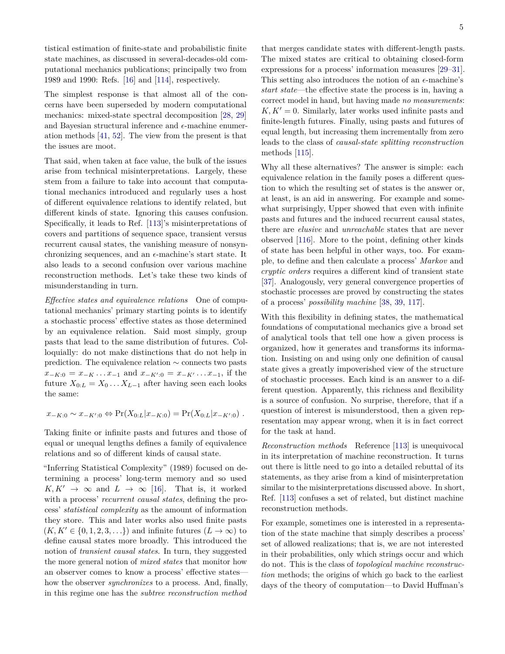<span id="page-4-0"></span>tistical estimation of finite-state and probabilistic finite state machines, as discussed in several-decades-old computational mechanics publications; principally two from 1989 and 1990: Refs. [\[16\]](#page-7-8) and [\[114\]](#page-10-13), respectively.

The simplest response is that almost all of the concerns have been superseded by modern computational mechanics: mixed-state spectral decomposition [\[28,](#page-7-14) [29\]](#page-7-18) and Bayesian structural inference and  $\epsilon$ -machine enumeration methods [\[41,](#page-8-3) [52\]](#page-8-8). The view from the present is that the issues are moot.

That said, when taken at face value, the bulk of the issues arise from technical misinterpretations. Largely, these stem from a failure to take into account that computational mechanics introduced and regularly uses a host of different equivalence relations to identify related, but different kinds of state. Ignoring this causes confusion. Specifically, it leads to Ref. [\[113\]](#page-10-12)'s misinterpretations of covers and partitions of sequence space, transient versus recurrent causal states, the vanishing measure of nonsynchronizing sequences, and an  $\epsilon$ -machine's start state. It also leads to a second confusion over various machine reconstruction methods. Let's take these two kinds of misunderstanding in turn.

*Effective states and equivalence relations* One of computational mechanics' primary starting points is to identify a stochastic process' effective states as those determined by an equivalence relation. Said most simply, group pasts that lead to the same distribution of futures. Colloquially: do not make distinctions that do not help in prediction. The equivalence relation ∼ connects two pasts  $x_{-K:0} = x_{-K} \dots x_{-1}$  and  $x_{-K':0} = x_{-K'} \dots x_{-1}$ , if the future  $X_{0:L} = X_0 \dots X_{L-1}$  after having seen each looks the same:

$$
x_{-K:0} \sim x_{-K':0} \Leftrightarrow \Pr(X_{0:L}|x_{-K:0}) = \Pr(X_{0:L}|x_{-K':0}) .
$$

Taking finite or infinite pasts and futures and those of equal or unequal lengths defines a family of equivalence relations and so of different kinds of causal state.

"Inferring Statistical Complexity" (1989) focused on determining a process' long-term memory and so used  $K, K' \rightarrow \infty$  and  $L \rightarrow \infty$  [\[16\]](#page-7-8). That is, it worked with a process' *recurrent causal states*, defining the process' *statistical complexity* as the amount of information they store. This and later works also used finite pasts  $(K, K' \in \{0, 1, 2, 3, \ldots\})$  and infinite futures  $(L \to \infty)$  to define causal states more broadly. This introduced the notion of *transient causal states*. In turn, they suggested the more general notion of *mixed states* that monitor how an observer comes to know a process' effective states how the observer *synchronizes* to a process. And, finally, in this regime one has the *subtree reconstruction method*

that merges candidate states with different-length pasts. The mixed states are critical to obtaining closed-form expressions for a process' information measures [\[29](#page-7-18)[–31\]](#page-7-19). This setting also introduces the notion of an  $\epsilon$ -machine's *start state*—the effective state the process is in, having a correct model in hand, but having made *no measurements*:  $K, K' = 0$ . Similarly, later works used infinite pasts and finite-length futures. Finally, using pasts and futures of equal length, but increasing them incrementally from zero leads to the class of *causal-state splitting reconstruction* methods [\[115\]](#page-10-14).

Why all these alternatives? The answer is simple: each equivalence relation in the family poses a different question to which the resulting set of states is the answer or, at least, is an aid in answering. For example and somewhat surprisingly, Upper showed that even with infinite pasts and futures and the induced recurrent causal states, there are *elusive* and *unreachable* states that are never observed [\[116\]](#page-10-15). More to the point, defining other kinds of state has been helpful in other ways, too. For example, to define and then calculate a process' *Markov* and *cryptic orders* requires a different kind of transient state [\[37\]](#page-8-1). Analogously, very general convergence properties of stochastic processes are proved by constructing the states of a process' *possibility machine* [\[38,](#page-8-19) [39,](#page-8-20) [117\]](#page-10-16).

With this flexibility in defining states, the mathematical foundations of computational mechanics give a broad set of analytical tools that tell one how a given process is organized, how it generates and transforms its information. Insisting on and using only one definition of causal state gives a greatly impoverished view of the structure of stochastic processes. Each kind is an answer to a different question. Apparently, this richness and flexibility is a source of confusion. No surprise, therefore, that if a question of interest is misunderstood, then a given representation may appear wrong, when it is in fact correct for the task at hand.

*Reconstruction methods* Reference [\[113\]](#page-10-12) is unequivocal in its interpretation of machine reconstruction. It turns out there is little need to go into a detailed rebuttal of its statements, as they arise from a kind of misinterpretation similar to the misinterpretations discussed above. In short, Ref. [\[113\]](#page-10-12) confuses a set of related, but distinct machine reconstruction methods.

For example, sometimes one is interested in a representation of the state machine that simply describes a process' set of allowed realizations; that is, we are not interested in their probabilities, only which strings occur and which do not. This is the class of *topological machine reconstruction* methods; the origins of which go back to the earliest days of the theory of computation—to David Huffman's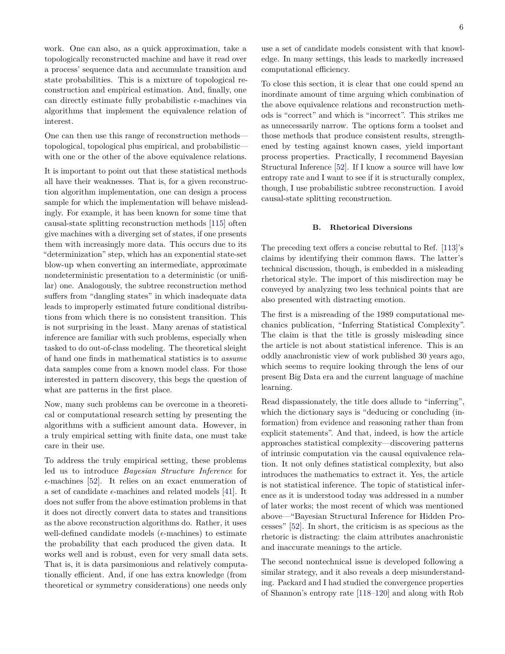<span id="page-5-0"></span>work. One can also, as a quick approximation, take a topologically reconstructed machine and have it read over a process' sequence data and accumulate transition and state probabilities. This is a mixture of topological reconstruction and empirical estimation. And, finally, one can directly estimate fully probabilistic  $\epsilon$ -machines via algorithms that implement the equivalence relation of interest.

One can then use this range of reconstruction methods topological, topological plus empirical, and probabilistic with one or the other of the above equivalence relations.

It is important to point out that these statistical methods all have their weaknesses. That is, for a given reconstruction algorithm implementation, one can design a process sample for which the implementation will behave misleadingly. For example, it has been known for some time that causal-state splitting reconstruction methods [\[115\]](#page-10-14) often give machines with a diverging set of states, if one presents them with increasingly more data. This occurs due to its "determinization" step, which has an exponential state-set blow-up when converting an intermediate, approximate nondeterministic presentation to a deterministic (or unifilar) one. Analogously, the subtree reconstruction method suffers from "dangling states" in which inadequate data leads to improperly estimated future conditional distributions from which there is no consistent transition. This is not surprising in the least. Many arenas of statistical inference are familiar with such problems, especially when tasked to do out-of-class modeling. The theoretical sleight of hand one finds in mathematical statistics is to *assume* data samples come from a known model class. For those interested in pattern discovery, this begs the question of what are patterns in the first place.

Now, many such problems can be overcome in a theoretical or computational research setting by presenting the algorithms with a sufficient amount data. However, in a truly empirical setting with finite data, one must take care in their use.

To address the truly empirical setting, these problems led us to introduce *Bayesian Structure Inference* for  $\epsilon$ -machines [\[52\]](#page-8-8). It relies on an exact enumeration of a set of candidate  $\epsilon$ -machines and related models [\[41\]](#page-8-3). It does not suffer from the above estimation problems in that it does not directly convert data to states and transitions as the above reconstruction algorithms do. Rather, it uses well-defined candidate models ( $\epsilon$ -machines) to estimate the probability that each produced the given data. It works well and is robust, even for very small data sets. That is, it is data parsimonious and relatively computationally efficient. And, if one has extra knowledge (from theoretical or symmetry considerations) one needs only

use a set of candidate models consistent with that knowledge. In many settings, this leads to markedly increased computational efficiency.

To close this section, it is clear that one could spend an inordinate amount of time arguing which combination of the above equivalence relations and reconstruction methods is "correct" and which is "incorrect". This strikes me as unnecessarily narrow. The options form a toolset and those methods that produce consistent results, strengthened by testing against known cases, yield important process properties. Practically, I recommend Bayesian Structural Inference [\[52\]](#page-8-8). If I know a source will have low entropy rate and I want to see if it is structurally complex, though, I use probabilistic subtree reconstruction. I avoid causal-state splitting reconstruction.

# **B. Rhetorical Diversions**

The preceding text offers a concise rebuttal to Ref. [\[113\]](#page-10-12)'s claims by identifying their common flaws. The latter's technical discussion, though, is embedded in a misleading rhetorical style. The import of this misdirection may be conveyed by analyzing two less technical points that are also presented with distracting emotion.

The first is a misreading of the 1989 computational mechanics publication, "Inferring Statistical Complexity". The claim is that the title is grossly misleading since the article is not about statistical inference. This is an oddly anachronistic view of work published 30 years ago, which seems to require looking through the lens of our present Big Data era and the current language of machine learning.

Read dispassionately, the title does allude to "inferring", which the dictionary says is "deducing or concluding (information) from evidence and reasoning rather than from explicit statements". And that, indeed, is how the article approaches statistical complexity—discovering patterns of intrinsic computation via the causal equivalence relation. It not only defines statistical complexity, but also introduces the mathematics to extract it. Yes, the article is not statistical inference. The topic of statistical inference as it is understood today was addressed in a number of later works; the most recent of which was mentioned above—"Bayesian Structural Inference for Hidden Processes" [\[52\]](#page-8-8). In short, the criticism is as specious as the rhetoric is distracting: the claim attributes anachronistic and inaccurate meanings to the article.

The second nontechnical issue is developed following a similar strategy, and it also reveals a deep misunderstanding. Packard and I had studied the convergence properties of Shannon's entropy rate [\[118–](#page-10-17)[120\]](#page-10-18) and along with Rob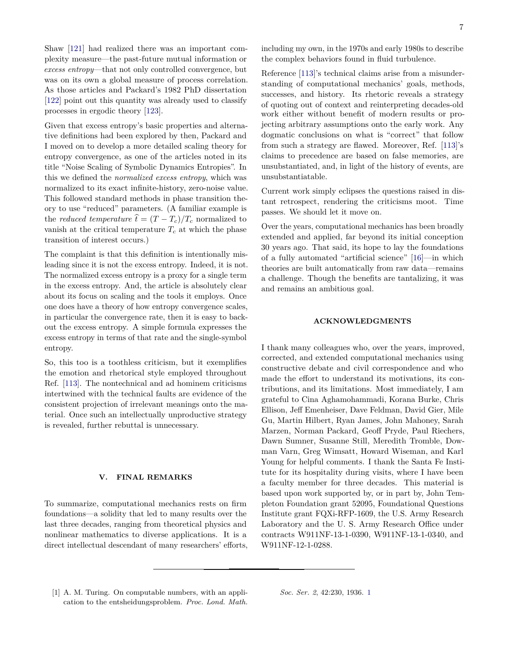<span id="page-6-1"></span>Shaw [\[121\]](#page-10-19) had realized there was an important complexity measure—the past-future mutual information or *excess entropy*—that not only controlled convergence, but was on its own a global measure of process correlation. As those articles and Packard's 1982 PhD dissertation [\[122\]](#page-10-20) point out this quantity was already used to classify processes in ergodic theory [\[123\]](#page-10-21).

Given that excess entropy's basic properties and alternative definitions had been explored by then, Packard and I moved on to develop a more detailed scaling theory for entropy convergence, as one of the articles noted in its title "Noise Scaling of Symbolic Dynamics Entropies". In this we defined the *normalized excess entropy*, which was normalized to its exact infinite-history, zero-noise value. This followed standard methods in phase transition theory to use "reduced" parameters. (A familiar example is the *reduced temperature*  $\hat{t} = (T - T_c)/T_c$  normalized to vanish at the critical temperature  $T_c$  at which the phase transition of interest occurs.)

The complaint is that this definition is intentionally misleading since it is not the excess entropy. Indeed, it is not. The normalized excess entropy is a proxy for a single term in the excess entropy. And, the article is absolutely clear about its focus on scaling and the tools it employs. Once one does have a theory of how entropy convergence scales, in particular the convergence rate, then it is easy to backout the excess entropy. A simple formula expresses the excess entropy in terms of that rate and the single-symbol entropy.

So, this too is a toothless criticism, but it exemplifies the emotion and rhetorical style employed throughout Ref. [\[113\]](#page-10-12). The nontechnical and ad hominem criticisms intertwined with the technical faults are evidence of the consistent projection of irrelevant meanings onto the material. Once such an intellectually unproductive strategy is revealed, further rebuttal is unnecessary.

# **V. FINAL REMARKS**

To summarize, computational mechanics rests on firm foundations—a solidity that led to many results over the last three decades, ranging from theoretical physics and nonlinear mathematics to diverse applications. It is a direct intellectual descendant of many researchers' efforts, including my own, in the 1970s and early 1980s to describe the complex behaviors found in fluid turbulence.

Reference [\[113\]](#page-10-12)'s technical claims arise from a misunderstanding of computational mechanics' goals, methods, successes, and history. Its rhetoric reveals a strategy of quoting out of context and reinterpreting decades-old work either without benefit of modern results or projecting arbitrary assumptions onto the early work. Any dogmatic conclusions on what is "correct" that follow from such a strategy are flawed. Moreover, Ref. [\[113\]](#page-10-12)'s claims to precedence are based on false memories, are unsubstantiated, and, in light of the history of events, are unsubstantiatable.

Current work simply eclipses the questions raised in distant retrospect, rendering the criticisms moot. Time passes. We should let it move on.

Over the years, computational mechanics has been broadly extended and applied, far beyond its initial conception 30 years ago. That said, its hope to lay the foundations of a fully automated "artificial science" [\[16\]](#page-7-8)—in which theories are built automatically from raw data—remains a challenge. Though the benefits are tantalizing, it was and remains an ambitious goal.

# **ACKNOWLEDGMENTS**

I thank many colleagues who, over the years, improved, corrected, and extended computational mechanics using constructive debate and civil correspondence and who made the effort to understand its motivations, its contributions, and its limitations. Most immediately, I am grateful to Cina Aghamohammadi, Korana Burke, Chris Ellison, Jeff Emenheiser, Dave Feldman, David Gier, Mile Gu, Martin Hilbert, Ryan James, John Mahoney, Sarah Marzen, Norman Packard, Geoff Pryde, Paul Riechers, Dawn Sumner, Susanne Still, Meredith Tromble, Dowman Varn, Greg Wimsatt, Howard Wiseman, and Karl Young for helpful comments. I thank the Santa Fe Institute for its hospitality during visits, where I have been a faculty member for three decades. This material is based upon work supported by, or in part by, John Templeton Foundation grant 52095, Foundational Questions Institute grant FQXi-RFP-1609, the U.S. Army Research Laboratory and the U. S. Army Research Office under contracts W911NF-13-1-0390, W911NF-13-1-0340, and W911NF-12-1-0288.

<span id="page-6-0"></span>[1] A. M. Turing. On computable numbers, with an application to the entsheidungsproblem. *Proc. Lond. Math.* *Soc. Ser. 2*, 42:230, 1936. [1](#page-0-1)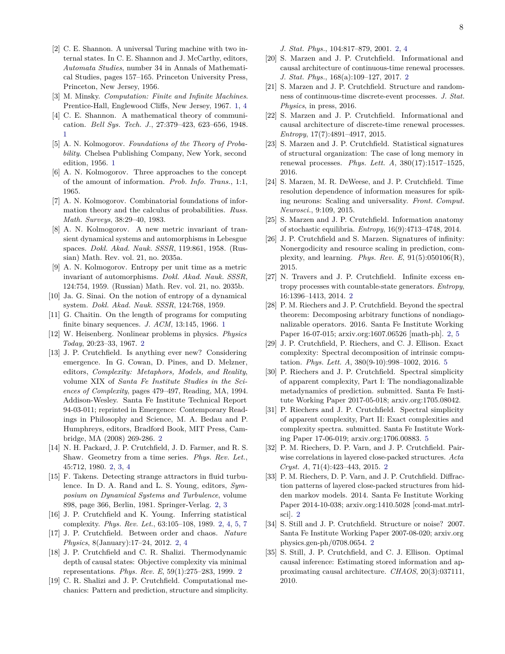- [2] C. E. Shannon. A universal Turing machine with two internal states. In C. E. Shannon and J. McCarthy, editors, *Automata Studies*, number 34 in Annals of Mathematical Studies, pages 157–165. Princeton University Press, Princeton, New Jersey, 1956.
- <span id="page-7-0"></span>[3] M. Minsky. *Computation: Finite and Infinite Machines*. Prentice-Hall, Englewood Cliffs, New Jersey, 1967. [1,](#page-0-1) [4](#page-3-0)
- <span id="page-7-1"></span>[4] C. E. Shannon. A mathematical theory of communication. *Bell Sys. Tech. J.*, 27:379–423, 623–656, 1948. [1](#page-0-1)
- <span id="page-7-2"></span>[5] A. N. Kolmogorov. *Foundations of the Theory of Probability*. Chelsea Publishing Company, New York, second edition, 1956. [1](#page-0-1)
- [6] A. N. Kolmogorov. Three approaches to the concept of the amount of information. *Prob. Info. Trans.*, 1:1, 1965.
- [7] A. N. Kolmogorov. Combinatorial foundations of information theory and the calculus of probabilities. *Russ. Math. Surveys*, 38:29–40, 1983.
- [8] A. N. Kolmogorov. A new metric invariant of transient dynamical systems and automorphisms in Lebesgue spaces. *Dokl. Akad. Nauk. SSSR*, 119:861, 1958. (Russian) Math. Rev. vol. 21, no. 2035a.
- [9] A. N. Kolmogorov. Entropy per unit time as a metric invariant of automorphisms. *Dokl. Akad. Nauk. SSSR*, 124:754, 1959. (Russian) Math. Rev. vol. 21, no. 2035b.
- [10] Ja. G. Sinai. On the notion of entropy of a dynamical system. *Dokl. Akad. Nauk. SSSR*, 124:768, 1959.
- <span id="page-7-3"></span>[11] G. Chaitin. On the length of programs for computing finite binary sequences. *J. ACM*, 13:145, 1966. [1](#page-0-1)
- <span id="page-7-4"></span>[12] W. Heisenberg. Nonlinear problems in physics. *Physics Today*, 20:23–33, 1967. [2](#page-1-0)
- <span id="page-7-5"></span>[13] J. P. Crutchfield. Is anything ever new? Considering emergence. In G. Cowan, D. Pines, and D. Melzner, editors, *Complexity: Metaphors, Models, and Reality*, volume XIX of *Santa Fe Institute Studies in the Sciences of Complexity*, pages 479–497, Reading, MA, 1994. Addison-Wesley. Santa Fe Institute Technical Report 94-03-011; reprinted in Emergence: Contemporary Readings in Philosophy and Science, M. A. Bedau and P. Humphreys, editors, Bradford Book, MIT Press, Cambridge, MA (2008) 269-286. [2](#page-1-0)
- <span id="page-7-6"></span>[14] N. H. Packard, J. P. Crutchfield, J. D. Farmer, and R. S. Shaw. Geometry from a time series. *Phys. Rev. Let.*, 45:712, 1980. [2,](#page-1-0) [3,](#page-2-0) [4](#page-3-0)
- <span id="page-7-7"></span>[15] F. Takens. Detecting strange attractors in fluid turbulence. In D. A. Rand and L. S. Young, editors, *Symposium on Dynamical Systems and Turbulence*, volume 898, page 366, Berlin, 1981. Springer-Verlag. [2,](#page-1-0) [3](#page-2-0)
- <span id="page-7-8"></span>[16] J. P. Crutchfield and K. Young. Inferring statistical complexity. *Phys. Rev. Let.*, 63:105–108, 1989. [2,](#page-1-0) [4,](#page-3-0) [5,](#page-4-0) [7](#page-6-1)
- <span id="page-7-9"></span>[17] J. P. Crutchfield. Between order and chaos. *Nature Physics*, 8(January):17–24, 2012. [2,](#page-1-0) [4](#page-3-0)
- <span id="page-7-10"></span>[18] J. P. Crutchfield and C. R. Shalizi. Thermodynamic depth of causal states: Objective complexity via minimal representations. *Phys. Rev. E*, 59(1):275–283, 1999. [2](#page-1-0)
- <span id="page-7-11"></span>[19] C. R. Shalizi and J. P. Crutchfield. Computational mechanics: Pattern and prediction, structure and simplicity.

*J. Stat. Phys.*, 104:817–879, 2001. [2,](#page-1-0) [4](#page-3-0)

- <span id="page-7-12"></span>[20] S. Marzen and J. P. Crutchfield. Informational and causal architecture of continuous-time renewal processes. *J. Stat. Phys.*, 168(a):109–127, 2017. [2](#page-1-0)
- [21] S. Marzen and J. P. Crutchfield. Structure and randomness of continuous-time discrete-event processes. *J. Stat. Physics*, in press, 2016.
- [22] S. Marzen and J. P. Crutchfield. Informational and causal architecture of discrete-time renewal processes. *Entropy*, 17(7):4891–4917, 2015.
- [23] S. Marzen and J. P. Crutchfield. Statistical signatures of structural organization: The case of long memory in renewal processes. *Phys. Lett. A*, 380(17):1517–1525, 2016.
- [24] S. Marzen, M. R. DeWeese, and J. P. Crutchfield. Time resolution dependence of information measures for spiking neurons: Scaling and universality. *Front. Comput. Neurosci.*, 9:109, 2015.
- [25] S. Marzen and J. P. Crutchfield. Information anatomy of stochastic equilibria. *Entropy*, 16(9):4713–4748, 2014.
- [26] J. P. Crutchfield and S. Marzen. Signatures of infinity: Nonergodicity and resource scaling in prediction, complexity, and learning. *Phys. Rev. E*, 91(5):050106(R), 2015.
- <span id="page-7-13"></span>[27] N. Travers and J. P. Crutchfield. Infinite excess entropy processes with countable-state generators. *Entropy*, 16:1396–1413, 2014. [2](#page-1-0)
- <span id="page-7-14"></span>[28] P. M. Riechers and J. P. Crutchfield. Beyond the spectral theorem: Decomposing arbitrary functions of nondiagonalizable operators. 2016. Santa Fe Institute Working Paper 16-07-015; arxiv.org:1607.06526 [math-ph]. [2,](#page-1-0) [5](#page-4-0)
- <span id="page-7-18"></span>[29] J. P. Crutchfield, P. Riechers, and C. J. Ellison. Exact complexity: Spectral decomposition of intrinsic computation. *Phys. Lett. A*, 380(9-10):998–1002, 2016. [5](#page-4-0)
- [30] P. Riechers and J. P. Crutchfield. Spectral simplicity of apparent complexity, Part I: The nondiagonalizable metadynamics of prediction. submitted. Santa Fe Institute Working Paper 2017-05-018; arxiv.org:1705.08042.
- <span id="page-7-19"></span>[31] P. Riechers and J. P. Crutchfield. Spectral simplicity of apparent complexity, Part II: Exact complexities and complexity spectra. submitted. Santa Fe Institute Working Paper 17-06-019; arxiv.org:1706.00883. [5](#page-4-0)
- <span id="page-7-17"></span>[32] P. M. Riechers, D. P. Varn, and J. P. Crutchfield. Pairwise correlations in layered close-packed structures. *Acta Cryst. A*, 71(4):423–443, 2015. [2](#page-1-0)
- <span id="page-7-15"></span>[33] P. M. Riechers, D. P. Varn, and J. P. Crutchfield. Diffraction patterns of layered close-packed structures from hidden markov models. 2014. Santa Fe Institute Working Paper 2014-10-038; arxiv.org:1410.5028 [cond-mat.mtrlsci]. [2](#page-1-0)
- <span id="page-7-16"></span>[34] S. Still and J. P. Crutchfield. Structure or noise? 2007. Santa Fe Institute Working Paper 2007-08-020; arxiv.org physics.gen-ph/0708.0654. [2](#page-1-0)
- [35] S. Still, J. P. Crutchfield, and C. J. Ellison. Optimal causal inference: Estimating stored information and approximating causal architecture. *CHAOS*, 20(3):037111, 2010.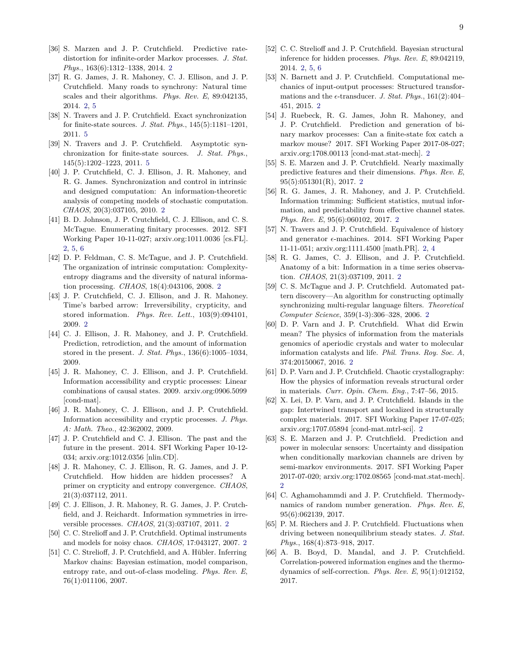- <span id="page-8-0"></span>[36] S. Marzen and J. P. Crutchfield. Predictive ratedistortion for infinite-order Markov processes. *J. Stat. Phys.*, 163(6):1312–1338, 2014. [2](#page-1-0)
- <span id="page-8-1"></span>[37] R. G. James, J. R. Mahoney, C. J. Ellison, and J. P. Crutchfield. Many roads to synchrony: Natural time scales and their algorithms. *Phys. Rev. E*, 89:042135, 2014. [2,](#page-1-0) [5](#page-4-0)
- <span id="page-8-19"></span>[38] N. Travers and J. P. Crutchfield. Exact synchronization for finite-state sources. *J. Stat. Phys.*, 145(5):1181–1201, 2011. [5](#page-4-0)
- <span id="page-8-20"></span>[39] N. Travers and J. P. Crutchfield. Asymptotic synchronization for finite-state sources. *J. Stat. Phys.*, 145(5):1202–1223, 2011. [5](#page-4-0)
- <span id="page-8-2"></span>[40] J. P. Crutchfield, C. J. Ellison, J. R. Mahoney, and R. G. James. Synchronization and control in intrinsic and designed computation: An information-theoretic analysis of competing models of stochastic computation. *CHAOS*, 20(3):037105, 2010. [2](#page-1-0)
- <span id="page-8-3"></span>[41] B. D. Johnson, J. P. Crutchfield, C. J. Ellison, and C. S. McTague. Enumerating finitary processes. 2012. SFI Working Paper 10-11-027; arxiv.org:1011.0036 [cs.FL]. [2,](#page-1-0) [5,](#page-4-0) [6](#page-5-0)
- <span id="page-8-4"></span>[42] D. P. Feldman, C. S. McTague, and J. P. Crutchfield. The organization of intrinsic computation: Complexityentropy diagrams and the diversity of natural information processing. *CHAOS*, 18(4):043106, 2008. [2](#page-1-0)
- <span id="page-8-5"></span>[43] J. P. Crutchfield, C. J. Ellison, and J. R. Mahoney. Time's barbed arrow: Irreversibility, crypticity, and stored information. *Phys. Rev. Lett.*, 103(9):094101, 2009. [2](#page-1-0)
- [44] C. J. Ellison, J. R. Mahoney, and J. P. Crutchfield. Prediction, retrodiction, and the amount of information stored in the present. *J. Stat. Phys.*, 136(6):1005–1034, 2009.
- [45] J. R. Mahoney, C. J. Ellison, and J. P. Crutchfield. Information accessibility and cryptic processes: Linear combinations of causal states. 2009. arxiv.org:0906.5099 [cond-mat].
- [46] J. R. Mahoney, C. J. Ellison, and J. P. Crutchfield. Information accessibility and cryptic processes. *J. Phys. A: Math. Theo.*, 42:362002, 2009.
- [47] J. P. Crutchfield and C. J. Ellison. The past and the future in the present. 2014. SFI Working Paper 10-12- 034; arxiv.org:1012.0356 [nlin.CD].
- [48] J. R. Mahoney, C. J. Ellison, R. G. James, and J. P. Crutchfield. How hidden are hidden processes? A primer on crypticity and entropy convergence. *CHAOS*, 21(3):037112, 2011.
- <span id="page-8-6"></span>[49] C. J. Ellison, J. R. Mahoney, R. G. James, J. P. Crutchfield, and J. Reichardt. Information symmetries in irreversible processes. *CHAOS*, 21(3):037107, 2011. [2](#page-1-0)
- <span id="page-8-7"></span>[50] C. C. Strelioff and J. P. Crutchfield. Optimal instruments and models for noisy chaos. *CHAOS*, 17:043127, 2007. [2](#page-1-0)
- [51] C. C. Strelioff, J. P. Crutchfield, and A. Hübler. Inferring Markov chains: Bayesian estimation, model comparison, entropy rate, and out-of-class modeling. *Phys. Rev. E*, 76(1):011106, 2007.
- <span id="page-8-8"></span>[52] C. C. Strelioff and J. P. Crutchfield. Bayesian structural inference for hidden processes. *Phys. Rev. E*, 89:042119, 2014. [2,](#page-1-0) [5,](#page-4-0) [6](#page-5-0)
- <span id="page-8-9"></span>[53] N. Barnett and J. P. Crutchfield. Computational mechanics of input-output processes: Structured transformations and the  $\epsilon$ -transducer. *J. Stat. Phys.*, 161(2):404– 451, 2015. [2](#page-1-0)
- <span id="page-8-10"></span>[54] J. Ruebeck, R. G. James, John R. Mahoney, and J. P. Crutchfield. Prediction and generation of binary markov processes: Can a finite-state fox catch a markov mouse? 2017. SFI Working Paper 2017-08-027; arxiv.org:1708.00113 [cond-mat.stat-mech]. [2](#page-1-0)
- <span id="page-8-11"></span>[55] S. E. Marzen and J. P. Crutchfield. Nearly maximally predictive features and their dimensions. *Phys. Rev. E*, 95(5):051301(R), 2017. [2](#page-1-0)
- <span id="page-8-12"></span>[56] R. G. James, J. R. Mahoney, and J. P. Crutchfield. Information trimming: Sufficient statistics, mutual information, and predictability from effective channel states. *Phys. Rev. E*, 95(6):060102, 2017. [2](#page-1-0)
- <span id="page-8-13"></span>[57] N. Travers and J. P. Crutchfield. Equivalence of history and generator  $\epsilon$ -machines. 2014. SFI Working Paper 11-11-051; arxiv.org:1111.4500 [math.PR]. [2,](#page-1-0) [4](#page-3-0)
- <span id="page-8-14"></span>[58] R. G. James, C. J. Ellison, and J. P. Crutchfield. Anatomy of a bit: Information in a time series observation. *CHAOS*, 21(3):037109, 2011. [2](#page-1-0)
- <span id="page-8-15"></span>[59] C. S. McTague and J. P. Crutchfield. Automated pattern discovery—An algorithm for constructing optimally synchronizing multi-regular language filters. *Theoretical Computer Science*, 359(1-3):306–328, 2006. [2](#page-1-0)
- <span id="page-8-16"></span>[60] D. P. Varn and J. P. Crutchfield. What did Erwin mean? The physics of information from the materials genomics of aperiodic crystals and water to molecular information catalysts and life. *Phil. Trans. Roy. Soc. A*, 374:20150067, 2016. [2](#page-1-0)
- [61] D. P. Varn and J. P. Crutchfield. Chaotic crystallography: How the physics of information reveals structural order in materials. *Curr. Opin. Chem. Eng.*, 7:47–56, 2015.
- <span id="page-8-17"></span>[62] X. Lei, D. P. Varn, and J. P. Crutchfield. Islands in the gap: Intertwined transport and localized in structurally complex materials. 2017. SFI Working Paper 17-07-025; arxiv.org:1707.05894 [cond-mat.mtrl-sci]. [2](#page-1-0)
- <span id="page-8-18"></span>[63] S. E. Marzen and J. P. Crutchfield. Prediction and power in molecular sensors: Uncertainty and dissipation when conditionally markovian channels are driven by semi-markov environments. 2017. SFI Working Paper 2017-07-020; arxiv.org:1702.08565 [cond-mat.stat-mech].  $\mathcal{D}$
- [64] C. Aghamohammdi and J. P. Crutchfield. Thermodynamics of random number generation. *Phys. Rev. E*, 95(6):062139, 2017.
- [65] P. M. Riechers and J. P. Crutchfield. Fluctuations when driving between nonequilibrium steady states. *J. Stat. Phys.*, 168(4):873–918, 2017.
- [66] A. B. Boyd, D. Mandal, and J. P. Crutchfield. Correlation-powered information engines and the thermodynamics of self-correction. *Phys. Rev. E*, 95(1):012152, 2017.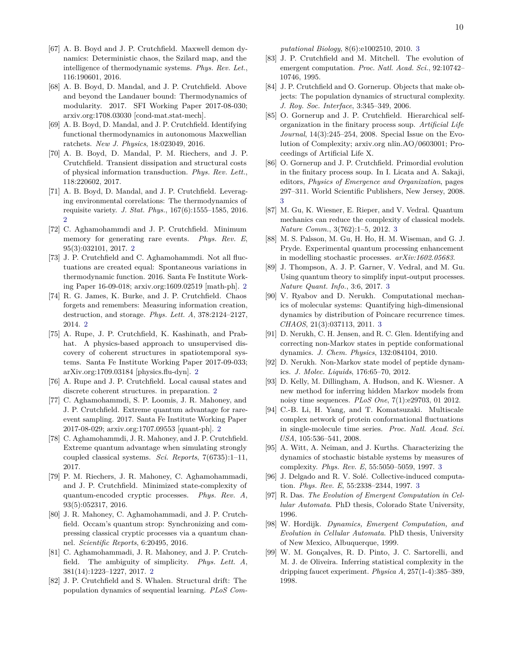- [67] A. B. Boyd and J. P. Crutchfield. Maxwell demon dynamics: Deterministic chaos, the Szilard map, and the intelligence of thermodynamic systems. *Phys. Rev. Let.*, 116:190601, 2016.
- [68] A. B. Boyd, D. Mandal, and J. P. Crutchfield. Above and beyond the Landauer bound: Thermodynamics of modularity. 2017. SFI Working Paper 2017-08-030; arxiv.org:1708.03030 [cond-mat.stat-mech].
- [69] A. B. Boyd, D. Mandal, and J. P. Crutchfield. Identifying functional thermodynamics in autonomous Maxwellian ratchets. *New J. Physics*, 18:023049, 2016.
- [70] A. B. Boyd, D. Mandal, P. M. Riechers, and J. P. Crutchfield. Transient dissipation and structural costs of physical information transduction. *Phys. Rev. Lett.*, 118:220602, 2017.
- <span id="page-9-0"></span>[71] A. B. Boyd, D. Mandal, and J. P. Crutchfield. Leveraging environmental correlations: The thermodynamics of requisite variety. *J. Stat. Phys.*, 167(6):1555–1585, 2016.  $\mathfrak{D}$
- <span id="page-9-1"></span>[72] C. Aghamohammdi and J. P. Crutchfield. Minimum memory for generating rare events. *Phys. Rev. E*, 95(3):032101, 2017. [2](#page-1-0)
- <span id="page-9-2"></span>[73] J. P. Crutchfield and C. Aghamohammdi. Not all fluctuations are created equal: Spontaneous variations in thermodynamic function. 2016. Santa Fe Institute Working Paper 16-09-018; arxiv.org:1609.02519 [math-ph]. [2](#page-1-0)
- <span id="page-9-3"></span>[74] R. G. James, K. Burke, and J. P. Crutchfield. Chaos forgets and remembers: Measuring information creation, destruction, and storage. *Phys. Lett. A*, 378:2124–2127, 2014. [2](#page-1-0)
- <span id="page-9-4"></span>[75] A. Rupe, J. P. Crutchfield, K. Kashinath, and Prabhat. A physics-based approach to unsupervised discovery of coherent structures in spatiotemporal systems. Santa Fe Institute Working Paper 2017-09-033; arXiv.org:1709.03184 [physics.flu-dyn]. [2](#page-1-0)
- <span id="page-9-5"></span>[76] A. Rupe and J. P. Crutchfield. Local causal states and discrete coherent structures. in preparation. [2](#page-1-0)
- <span id="page-9-6"></span>[77] C. Aghamohammdi, S. P. Loomis, J. R. Mahoney, and J. P. Crutchfield. Extreme quantum advantage for rareevent sampling. 2017. Santa Fe Institute Working Paper 2017-08-029; arxiv.org:1707.09553 [quant-ph]. [2](#page-1-0)
- [78] C. Aghamohammdi, J. R. Mahoney, and J. P. Crutchfield. Extreme quantum advantage when simulating strongly coupled classical systems. *Sci. Reports*, 7(6735):1–11, 2017.
- [79] P. M. Riechers, J. R. Mahoney, C. Aghamohammadi, and J. P. Crutchfield. Minimized state-complexity of quantum-encoded cryptic processes. *Phys. Rev. A*, 93(5):052317, 2016.
- [80] J. R. Mahoney, C. Aghamohammadi, and J. P. Crutchfield. Occam's quantum strop: Synchronizing and compressing classical cryptic processes via a quantum channel. *Scientific Reports*, 6:20495, 2016.
- <span id="page-9-7"></span>[81] C. Aghamohammadi, J. R. Mahoney, and J. P. Crutchfield. The ambiguity of simplicity. *Phys. Lett. A*, 381(14):1223–1227, 2017. [2](#page-1-0)
- <span id="page-9-8"></span>[82] J. P. Crutchfield and S. Whalen. Structural drift: The population dynamics of sequential learning. *PLoS Com-*

*putational Biology*, 8(6):e1002510, 2010. [3](#page-2-0)

- [83] J. P. Crutchfield and M. Mitchell. The evolution of emergent computation. *Proc. Natl. Acad. Sci.*, 92:10742– 10746, 1995.
- [84] J. P. Crutchfield and O. Gornerup. Objects that make objects: The population dynamics of structural complexity. *J. Roy. Soc. Interface*, 3:345–349, 2006.
- [85] O. Gornerup and J. P. Crutchfield. Hierarchical selforganization in the finitary process soup. *Artificial Life Journal*, 14(3):245–254, 2008. Special Issue on the Evolution of Complexity; arxiv.org nlin.AO/0603001; Proceedings of Artificial Life X.
- <span id="page-9-9"></span>[86] O. Gornerup and J. P. Crutchfield. Primordial evolution in the finitary process soup. In I. Licata and A. Sakaji, editors, *Physics of Emergence and Organization*, pages 297–311. World Scientific Publishers, New Jersey, 2008. [3](#page-2-0)
- <span id="page-9-10"></span>[87] M. Gu, K. Wiesner, E. Rieper, and V. Vedral. Quantum mechanics can reduce the complexity of classical models. *Nature Comm.*, 3(762):1–5, 2012. [3](#page-2-0)
- [88] M. S. Palsson, M. Gu, H. Ho, H. M. Wiseman, and G. J. Pryde. Experimental quantum processing enhancement in modelling stochastic processes. *arXiv:1602.05683*.
- <span id="page-9-11"></span>[89] J. Thompson, A. J. P. Garner, V. Vedral, and M. Gu. Using quantum theory to simplify input-output processes. *Nature Quant. Info.*, 3:6, 2017. [3](#page-2-0)
- <span id="page-9-12"></span>[90] V. Ryabov and D. Nerukh. Computational mechanics of molecular systems: Quantifying high-dimensional dynamics by distribution of Poincare recurrence times. *CHAOS*, 21(3):037113, 2011. [3](#page-2-0)
- [91] D. Nerukh, C. H. Jensen, and R. C. Glen. Identifying and correcting non-Markov states in peptide conformational dynamics. *J. Chem. Physics*, 132:084104, 2010.
- [92] D. Nerukh. Non-Markov state model of peptide dynamics. *J. Molec. Liquids*, 176:65–70, 2012.
- [93] D. Kelly, M. Dillingham, A. Hudson, and K. Wiesner. A new method for inferring hidden Markov models from noisy time sequences. *PLoS One*, 7(1):e29703, 01 2012.
- [94] C.-B. Li, H. Yang, and T. Komatsuzaki. Multiscale complex network of protein conformational fluctuations in single-molecule time series. *Proc. Natl. Acad. Sci. USA*, 105:536–541, 2008.
- <span id="page-9-13"></span>[95] A. Witt, A. Neiman, and J. Kurths. Characterizing the dynamics of stochastic bistable systems by measures of complexity. *Phys. Rev. E*, 55:5050–5059, 1997. [3](#page-2-0)
- <span id="page-9-14"></span>[96] J. Delgado and R. V. Solé. Collective-induced computation. *Phys. Rev. E*, 55:2338–2344, 1997. [3](#page-2-0)
- [97] R. Das. *The Evolution of Emergent Computation in Cellular Automata*. PhD thesis, Colorado State University, 1996.
- [98] W. Hordijk. *Dynamics, Emergent Computation, and Evolution in Cellular Automata*. PhD thesis, University of New Mexico, Albuquerque, 1999.
- [99] W. M. Gonçalves, R. D. Pinto, J. C. Sartorelli, and M. J. de Oliveira. Inferring statistical complexity in the dripping faucet experiment. *Physica A*, 257(1-4):385–389, 1998.